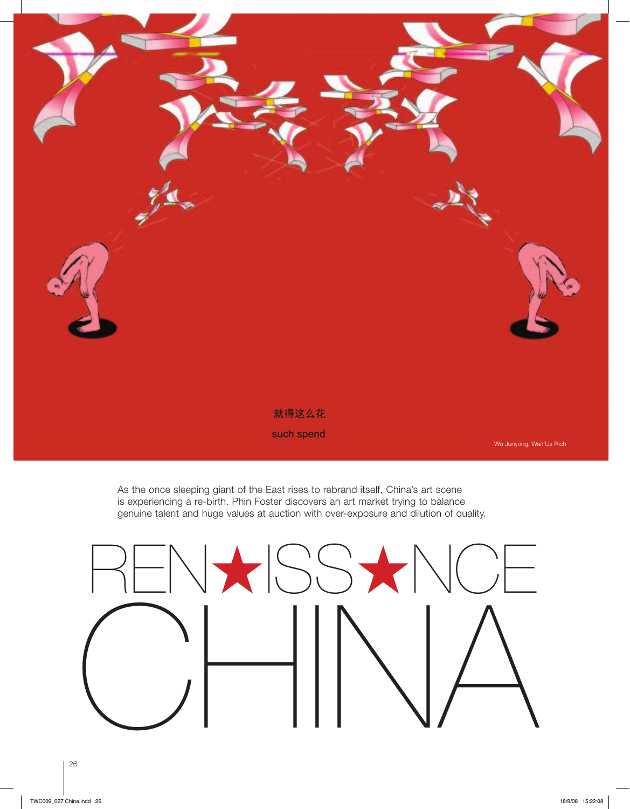

As the once sleeping giant of the East rises to rebrand itself, China's art scene is experiencing a re-birth. Phin Foster discovers an art market trying to balance genuine talent and huge values at auction with over-exposure and dilution of quality.

NXISS**\*NCE** CHINA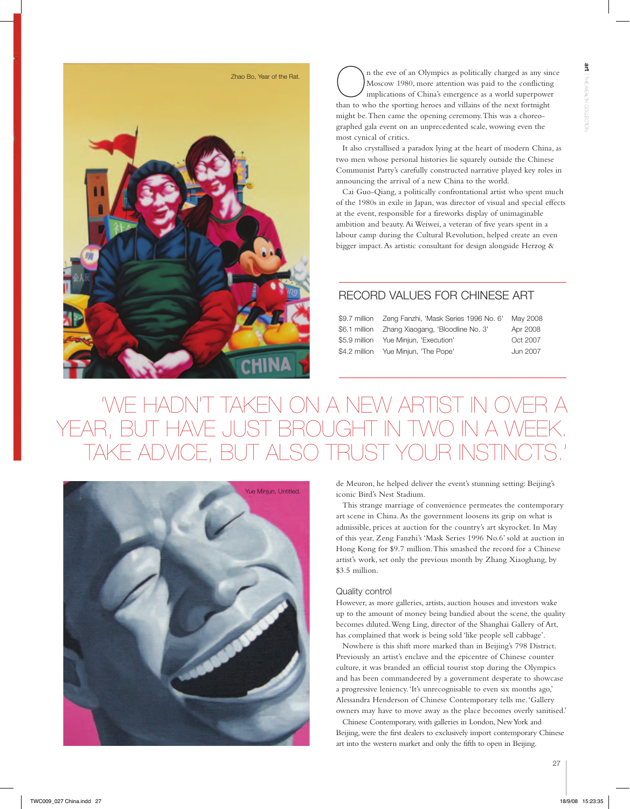

The seve of an Olympics as politically charged as any sin Moscow 1980, more attention was paid to the conflicting implications of China's emergence as a world superpowe than to who the sporting heroes and villains of the n n the eve of an Olympics as politically charged as any since Moscow 1980, more attention was paid to the conflicting implications of China's emergence as a world superpower might be. Then came the opening ceremony. This was a choreographed gala event on an unprecedented scale, wowing even the most cynical of critics.

It also crystallised a paradox lying at the heart of modern China, as two men whose personal histories lie squarely outside the Chinese Communist Party's carefully constructed narrative played key roles in announcing the arrival of a new China to the world.

Cai Guo-Qiang, a politically confrontational artist who spent much of the 1980s in exile in Japan, was director of visual and special effects at the event, responsible for a fireworks display of unimaginable ambition and beauty. Ai Weiwei, a veteran of five years spent in a labour camp during the Cultural Revolution, helped create an even bigger impact. As artistic consultant for design alongside Herzog &

## record values for Chinese art

|                                       | May 2008 |
|---------------------------------------|----------|
|                                       | Apr 2008 |
| \$5.9 million Yue Minjun, 'Execution' | Oct 2007 |
| \$4.2 million Yue Minjun, 'The Pope'  | Jun 2007 |
|                                       |          |

# ON A NEW ARTIST IN O YEAR, BUT HAVE JUST BROUGHT IN TAKE ADVICE, BUT ALSO TRUST YOUR INSTIN



de Meuron, he helped deliver the event's stunning setting: Beijing's iconic Bird's Nest Stadium.

This strange marriage of convenience permeates the contemporary art scene in China. As the government loosens its grip on what is admissible, prices at auction for the country's art skyrocket. In May of this year, Zeng Fanzhi's 'Mask Series 1996 No.6' sold at auction in Hong Kong for \$9.7 million. This smashed the record for a Chinese artist's work, set only the previous month by Zhang Xiaoghang, by \$3.5 million.

### Quality control

However, as more galleries, artists, auction houses and investors wake up to the amount of money being bandied about the scene, the quality becomes diluted. Weng Ling, director of the Shanghai Gallery of Art, has complained that work is being sold 'like people sell cabbage'.

Nowhere is this shift more marked than in Beijing's 798 District. Previously an artist's enclave and the epicentre of Chinese counter culture, it was branded an official tourist stop during the Olympics and has been commandeered by a government desperate to showcase a progressive leniency. 'It's unrecognisable to even six months ago,' Alessandra Henderson of Chinese Contemporary tells me. 'Gallery owners may have to move away as the place becomes overly sanitised.'

Chinese Contemporary, with galleries in London, New York and Beijing, were the first dealers to exclusively import contemporary Chinese art into the western market and only the fifth to open in Beijing.